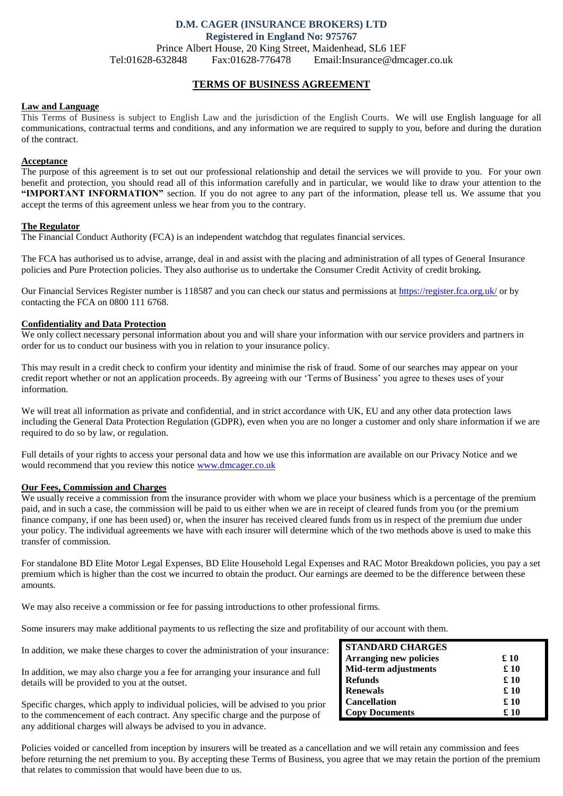# **D.M. CAGER (INSURANCE BROKERS) LTD Registered in England No: 975767** Prince Albert House, 20 King Street, Maidenhead, SL6 1EF

Tel:01628-632848 Fax:01628-776478 Email:Insurance@dmcager.co.uk

# **TERMS OF BUSINESS AGREEMENT**

# **Law and Language**

This Terms of Business is subject to English Law and the jurisdiction of the English Courts. We will use English language for all communications, contractual terms and conditions, and any information we are required to supply to you, before and during the duration of the contract.

#### **Acceptance**

The purpose of this agreement is to set out our professional relationship and detail the services we will provide to you. For your own benefit and protection, you should read all of this information carefully and in particular, we would like to draw your attention to the **"IMPORTANT INFORMATION"** section. If you do not agree to any part of the information, please tell us. We assume that you accept the terms of this agreement unless we hear from you to the contrary.

### **The Regulator**

The Financial Conduct Authority (FCA) is an independent watchdog that regulates financial services.

The FCA has authorised us to advise, arrange, deal in and assist with the placing and administration of all types of General Insurance policies and Pure Protection policies. They also authorise us to undertake the Consumer Credit Activity of credit broking*.*

Our Financial Services Register number is 118587 and you can check our status and permissions at<https://register.fca.org.uk/> or by contacting the FCA on 0800 111 6768.

# **Confidentiality and Data Protection**

We only collect necessary personal information about you and will share your information with our service providers and partners in order for us to conduct our business with you in relation to your insurance policy.

This may result in a credit check to confirm your identity and minimise the risk of fraud. Some of our searches may appear on your credit report whether or not an application proceeds. By agreeing with our 'Terms of Business' you agree to theses uses of your information.

We will treat all information as private and confidential, and in strict accordance with UK, EU and any other data protection laws including the General Data Protection Regulation (GDPR), even when you are no longer a customer and only share information if we are required to do so by law, or regulation.

Full details of your rights to access your personal data and how we use this information are available on our Privacy Notice and we would recommend that you review this notice [www.dmcager.co.uk](http://www.dmcager.co.uk/)

#### **Our Fees, Commission and Charges**

We usually receive a commission from the insurance provider with whom we place your business which is a percentage of the premium paid, and in such a case, the commission will be paid to us either when we are in receipt of cleared funds from you (or the premium finance company, if one has been used) or, when the insurer has received cleared funds from us in respect of the premium due under your policy. The individual agreements we have with each insurer will determine which of the two methods above is used to make this transfer of commission.

For standalone BD Elite Motor Legal Expenses, BD Elite Household Legal Expenses and RAC Motor Breakdown policies, you pay a set premium which is higher than the cost we incurred to obtain the product. Our earnings are deemed to be the difference between these amounts.

We may also receive a commission or fee for passing introductions to other professional firms.

Some insurers may make additional payments to us reflecting the size and profitability of our account with them.

In addition, we make these charges to cover the administration of your insurance:

In addition, we may also charge you a fee for arranging your insurance and full details will be provided to you at the outset.

Specific charges, which apply to individual policies, will be advised to you prior to the commencement of each contract. Any specific charge and the purpose of any additional charges will always be advised to you in advance.

| <b>STANDARD CHARGES</b>       |      |
|-------------------------------|------|
| <b>Arranging new policies</b> | £10  |
| <b>Mid-term adjustments</b>   | £ 10 |
| <b>Refunds</b>                | £ 10 |
| <b>Renewals</b>               | £ 10 |
| <b>Cancellation</b>           | £ 10 |
| <b>Copy Documents</b>         | £ 10 |

Policies voided or cancelled from inception by insurers will be treated as a cancellation and we will retain any commission and fees before returning the net premium to you. By accepting these Terms of Business, you agree that we may retain the portion of the premium that relates to commission that would have been due to us.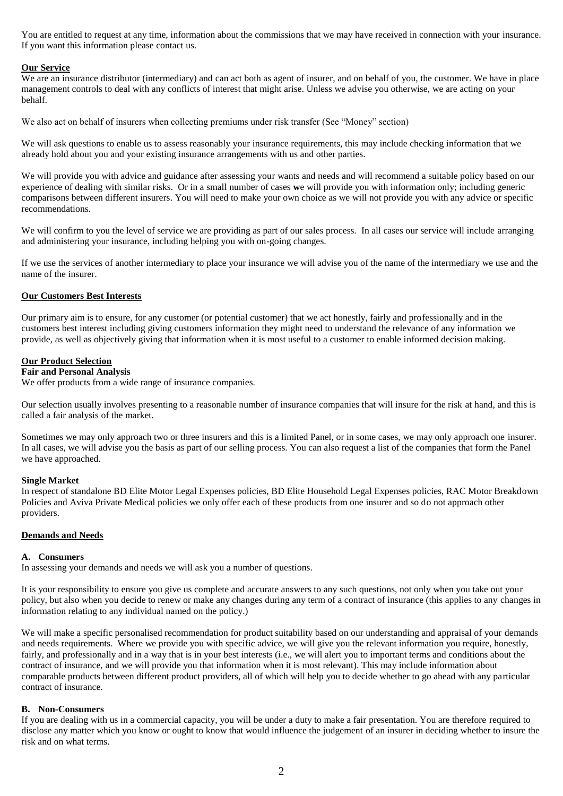You are entitled to request at any time, information about the commissions that we may have received in connection with your insurance. If you want this information please contact us.

#### **Our Service**

We are an insurance distributor (intermediary) and can act both as agent of insurer, and on behalf of you, the customer. We have in place management controls to deal with any conflicts of interest that might arise. Unless we advise you otherwise, we are acting on your behalf.

We also act on behalf of insurers when collecting premiums under risk transfer (See "Money" section)

We will ask questions to enable us to assess reasonably your insurance requirements, this may include checking information that we already hold about you and your existing insurance arrangements with us and other parties.

We will provide you with advice and guidance after assessing your wants and needs and will recommend a suitable policy based on our experience of dealing with similar risks. Or in a small number of cases **w**e will provide you with information only; including generic comparisons between different insurers. You will need to make your own choice as we will not provide you with any advice or specific recommendations.

We will confirm to you the level of service we are providing as part of our sales process. In all cases our service will include arranging and administering your insurance, including helping you with on-going changes.

If we use the services of another intermediary to place your insurance we will advise you of the name of the intermediary we use and the name of the insurer.

#### **Our Customers Best Interests**

Our primary aim is to ensure, for any customer (or potential customer) that we act honestly, fairly and professionally and in the customers best interest including giving customers information they might need to understand the relevance of any information we provide, as well as objectively giving that information when it is most useful to a customer to enable informed decision making.

#### **Our Product Selection**

## **Fair and Personal Analysis**

We offer products from a wide range of insurance companies.

Our selection usually involves presenting to a reasonable number of insurance companies that will insure for the risk at hand, and this is called a fair analysis of the market.

Sometimes we may only approach two or three insurers and this is a limited Panel, or in some cases, we may only approach one insurer. In all cases, we will advise you the basis as part of our selling process. You can also request a list of the companies that form the Panel we have approached.

# **Single Market**

In respect of standalone BD Elite Motor Legal Expenses policies, BD Elite Household Legal Expenses policies, RAC Motor Breakdown Policies and Aviva Private Medical policies we only offer each of these products from one insurer and so do not approach other providers.

#### **Demands and Needs**

#### **A. Consumers**

In assessing your demands and needs we will ask you a number of questions.

It is your responsibility to ensure you give us complete and accurate answers to any such questions, not only when you take out your policy, but also when you decide to renew or make any changes during any term of a contract of insurance (this applies to any changes in information relating to any individual named on the policy.)

We will make a specific personalised recommendation for product suitability based on our understanding and appraisal of your demands and needs requirements. Where we provide you with specific advice, we will give you the relevant information you require, honestly, fairly, and professionally and in a way that is in your best interests (i.e., we will alert you to important terms and conditions about the contract of insurance, and we will provide you that information when it is most relevant). This may include information about comparable products between different product providers, all of which will help you to decide whether to go ahead with any particular contract of insurance.

### **B. Non-Consumers**

If you are dealing with us in a commercial capacity, you will be under a duty to make a fair presentation. You are therefore required to disclose any matter which you know or ought to know that would influence the judgement of an insurer in deciding whether to insure the risk and on what terms.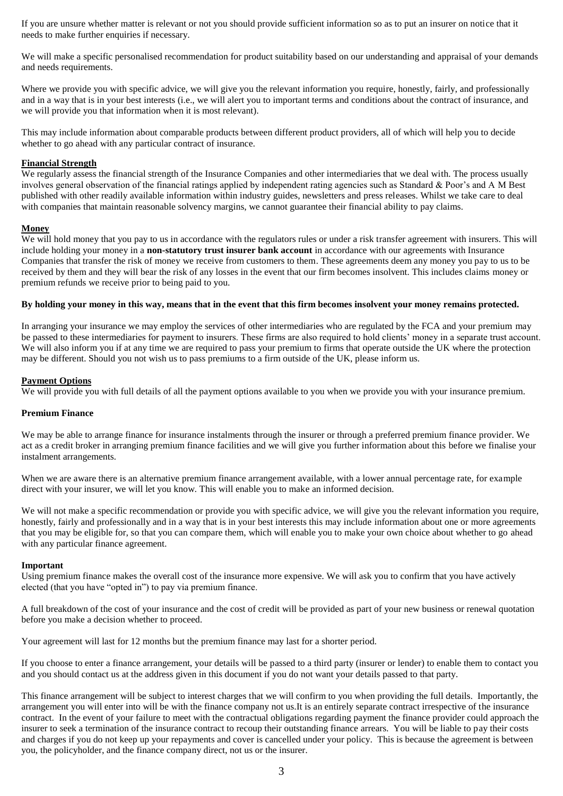If you are unsure whether matter is relevant or not you should provide sufficient information so as to put an insurer on notice that it needs to make further enquiries if necessary.

We will make a specific personalised recommendation for product suitability based on our understanding and appraisal of your demands and needs requirements.

Where we provide you with specific advice, we will give you the relevant information you require, honestly, fairly, and professionally and in a way that is in your best interests (i.e., we will alert you to important terms and conditions about the contract of insurance, and we will provide you that information when it is most relevant).

This may include information about comparable products between different product providers, all of which will help you to decide whether to go ahead with any particular contract of insurance.

### **Financial Strength**

We regularly assess the financial strength of the Insurance Companies and other intermediaries that we deal with. The process usually involves general observation of the financial ratings applied by independent rating agencies such as Standard & Poor's and A M Best published with other readily available information within industry guides, newsletters and press releases. Whilst we take care to deal with companies that maintain reasonable solvency margins, we cannot guarantee their financial ability to pay claims.

# **Money**

We will hold money that you pay to us in accordance with the regulators rules or under a risk transfer agreement with insurers. This will include holding your money in a **non-statutory trust insurer bank account** in accordance with our agreements with Insurance Companies that transfer the risk of money we receive from customers to them. These agreements deem any money you pay to us to be received by them and they will bear the risk of any losses in the event that our firm becomes insolvent. This includes claims money or premium refunds we receive prior to being paid to you.

### **By holding your money in this way, means that in the event that this firm becomes insolvent your money remains protected.**

In arranging your insurance we may employ the services of other intermediaries who are regulated by the FCA and your premium may be passed to these intermediaries for payment to insurers. These firms are also required to hold clients' money in a separate trust account. We will also inform you if at any time we are required to pass your premium to firms that operate outside the UK where the protection may be different. Should you not wish us to pass premiums to a firm outside of the UK, please inform us.

### **Payment Options**

We will provide you with full details of all the payment options available to you when we provide you with your insurance premium.

#### **Premium Finance**

We may be able to arrange finance for insurance instalments through the insurer or through a preferred premium finance provider. We act as a credit broker in arranging premium finance facilities and we will give you further information about this before we finalise your instalment arrangements.

When we are aware there is an alternative premium finance arrangement available, with a lower annual percentage rate, for example direct with your insurer, we will let you know. This will enable you to make an informed decision.

We will not make a specific recommendation or provide you with specific advice, we will give you the relevant information you require, honestly, fairly and professionally and in a way that is in your best interests this may include information about one or more agreements that you may be eligible for, so that you can compare them, which will enable you to make your own choice about whether to go ahead with any particular finance agreement.

#### **Important**

Using premium finance makes the overall cost of the insurance more expensive. We will ask you to confirm that you have actively elected (that you have "opted in") to pay via premium finance.

A full breakdown of the cost of your insurance and the cost of credit will be provided as part of your new business or renewal quotation before you make a decision whether to proceed.

Your agreement will last for 12 months but the premium finance may last for a shorter period.

If you choose to enter a finance arrangement, your details will be passed to a third party (insurer or lender) to enable them to contact you and you should contact us at the address given in this document if you do not want your details passed to that party.

This finance arrangement will be subject to interest charges that we will confirm to you when providing the full details. Importantly, the arrangement you will enter into will be with the finance company not us.It is an entirely separate contract irrespective of the insurance contract. In the event of your failure to meet with the contractual obligations regarding payment the finance provider could approach the insurer to seek a termination of the insurance contract to recoup their outstanding finance arrears. You will be liable to pay their costs and charges if you do not keep up your repayments and cover is cancelled under your policy. This is because the agreement is between you, the policyholder, and the finance company direct, not us or the insurer.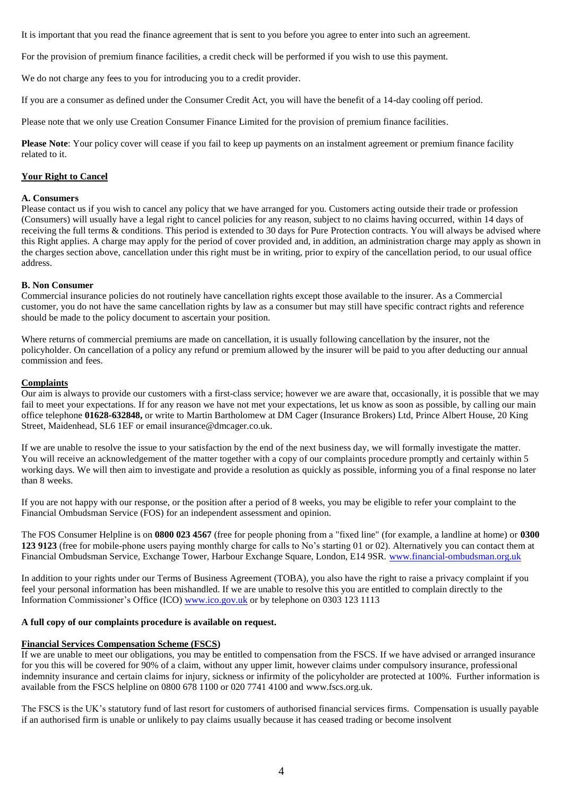It is important that you read the finance agreement that is sent to you before you agree to enter into such an agreement.

For the provision of premium finance facilities, a credit check will be performed if you wish to use this payment.

We do not charge any fees to you for introducing you to a credit provider.

If you are a consumer as defined under the Consumer Credit Act, you will have the benefit of a 14-day cooling off period.

Please note that we only use Creation Consumer Finance Limited for the provision of premium finance facilities.

**Please Note**: Your policy cover will cease if you fail to keep up payments on an instalment agreement or premium finance facility related to it.

# **Your Right to Cancel**

#### **A. Consumers**

Please contact us if you wish to cancel any policy that we have arranged for you. Customers acting outside their trade or profession (Consumers) will usually have a legal right to cancel policies for any reason, subject to no claims having occurred, within 14 days of receiving the full terms & conditions. This period is extended to 30 days for Pure Protection contracts. You will always be advised where this Right applies. A charge may apply for the period of cover provided and, in addition, an administration charge may apply as shown in the charges section above, cancellation under this right must be in writing, prior to expiry of the cancellation period, to our usual office address.

### **B. Non Consumer**

Commercial insurance policies do not routinely have cancellation rights except those available to the insurer. As a Commercial customer, you do not have the same cancellation rights by law as a consumer but may still have specific contract rights and reference should be made to the policy document to ascertain your position.

Where returns of commercial premiums are made on cancellation, it is usually following cancellation by the insurer, not the policyholder. On cancellation of a policy any refund or premium allowed by the insurer will be paid to you after deducting our annual commission and fees.

# **Complaints**

Our aim is always to provide our customers with a first-class service; however we are aware that, occasionally, it is possible that we may fail to meet your expectations. If for any reason we have not met your expectations, let us know as soon as possible, by calling our main office telephone **01628-632848,** or write to Martin Bartholomew at DM Cager (Insurance Brokers) Ltd, Prince Albert House, 20 King Street, Maidenhead, SL6 1EF or email insurance@dmcager.co.uk.

If we are unable to resolve the issue to your satisfaction by the end of the next business day, we will formally investigate the matter. You will receive an acknowledgement of the matter together with a copy of our complaints procedure promptly and certainly within 5 working days. We will then aim to investigate and provide a resolution as quickly as possible, informing you of a final response no later than 8 weeks.

If you are not happy with our response, or the position after a period of 8 weeks, you may be eligible to refer your complaint to the Financial Ombudsman Service (FOS) for an independent assessment and opinion.

The FOS Consumer Helpline is on **0800 023 4567** (free for people phoning from a "fixed line" (for example, a landline at home) or **0300 123 9123** (free for mobile-phone users paying monthly charge for calls to No's starting 01 or 02). Alternatively you can contact them at Financial Ombudsman Service, Exchange Tower, Harbour Exchange Square, London, E14 9SR. [www.financial-ombudsman.org.uk](http://www.financial-ombudsman.org.uk/)

In addition to your rights under our Terms of Business Agreement (TOBA), you also have the right to raise a privacy complaint if you feel your personal information has been mishandled. If we are unable to resolve this you are entitled to complain directly to the Information Commissioner's Office (ICO) [www.ico.gov.uk](http://www.ico.gov.uk/) or by telephone on 0303 123 1113

#### **A full copy of our complaints procedure is available on request.**

# **Financial Services Compensation Scheme (FSCS)**

If we are unable to meet our obligations, you may be entitled to compensation from the FSCS. If we have advised or arranged insurance for you this will be covered for 90% of a claim, without any upper limit, however claims under compulsory insurance, professional indemnity insurance and certain claims for injury, sickness or infirmity of the policyholder are protected at 100%. Further information is available from the FSCS helpline on 0800 678 1100 or 020 7741 4100 and [www.fscs.org.uk.](http://www.fscs.org.uk/)

The FSCS is the UK's statutory fund of last resort for customers of authorised financial services firms. Compensation is usually payable if an authorised firm is unable or unlikely to pay claims usually because it has ceased trading or become insolvent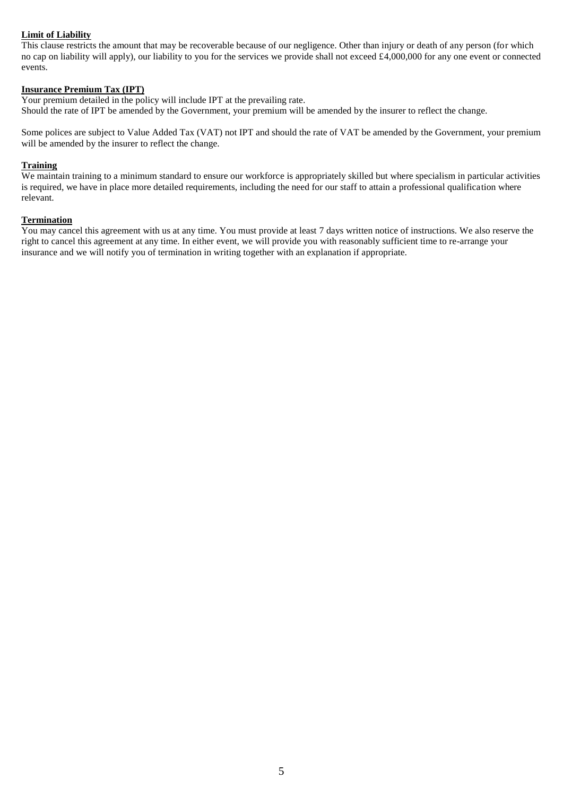# **Limit of Liability**

This clause restricts the amount that may be recoverable because of our negligence. Other than injury or death of any person (for which no cap on liability will apply), our liability to you for the services we provide shall not exceed £4,000,000 for any one event or connected events.

# **Insurance Premium Tax (IPT)**

Your premium detailed in the policy will include IPT at the prevailing rate. Should the rate of IPT be amended by the Government, your premium will be amended by the insurer to reflect the change.

Some polices are subject to Value Added Tax (VAT) not IPT and should the rate of VAT be amended by the Government, your premium will be amended by the insurer to reflect the change.

# **Training**

We maintain training to a minimum standard to ensure our workforce is appropriately skilled but where specialism in particular activities is required, we have in place more detailed requirements, including the need for our staff to attain a professional qualification where relevant.

# **Termination**

You may cancel this agreement with us at any time. You must provide at least 7 days written notice of instructions. We also reserve the right to cancel this agreement at any time. In either event, we will provide you with reasonably sufficient time to re-arrange your insurance and we will notify you of termination in writing together with an explanation if appropriate.